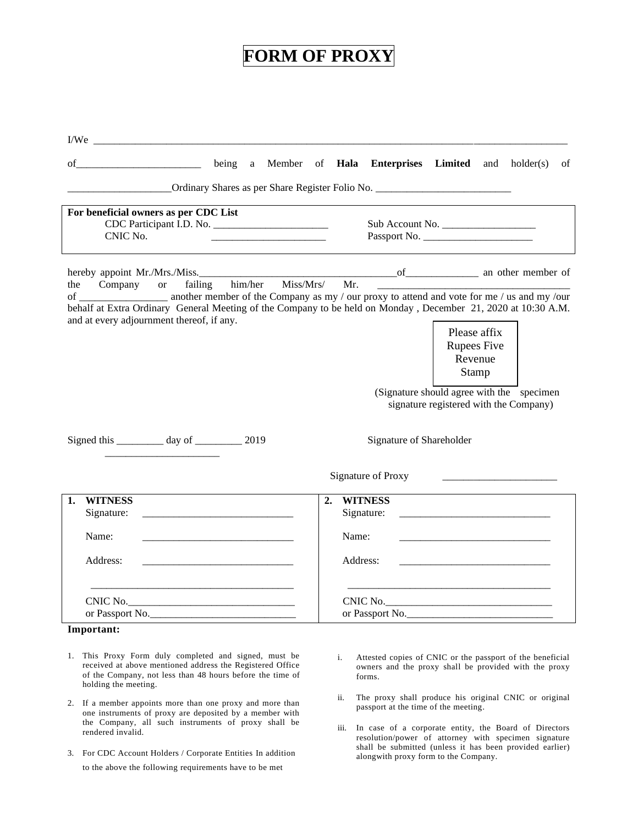## **FORM OF PROXY**

| I/We                                                                                          |                                                                                                                                                                                                                                                                                            |
|-----------------------------------------------------------------------------------------------|--------------------------------------------------------------------------------------------------------------------------------------------------------------------------------------------------------------------------------------------------------------------------------------------|
| being a Member of Hala<br>of                                                                  | <b>Enterprises</b> Limited<br>and $holder(s)$<br>of                                                                                                                                                                                                                                        |
|                                                                                               |                                                                                                                                                                                                                                                                                            |
| For beneficial owners as per CDC List                                                         |                                                                                                                                                                                                                                                                                            |
| CDC Participant I.D. No.<br>CNIC No.                                                          | Sub Account No.<br>Passport No.                                                                                                                                                                                                                                                            |
|                                                                                               |                                                                                                                                                                                                                                                                                            |
| him/her<br>Company or<br>failing<br>the                                                       | Miss/Mrs/<br>Mr.                                                                                                                                                                                                                                                                           |
| and at every adjournment thereof, if any.<br>Signed this ___________ day of ____________ 2019 | behalf at Extra Ordinary General Meeting of the Company to be held on Monday, December 21, 2020 at 10:30 A.M.<br>Please affix<br><b>Rupees Five</b><br>Revenue<br>Stamp<br>(Signature should agree with the specimen<br>signature registered with the Company)<br>Signature of Shareholder |
|                                                                                               |                                                                                                                                                                                                                                                                                            |
|                                                                                               | Signature of Proxy                                                                                                                                                                                                                                                                         |
| <b>WITNESS</b><br>1.<br>Signature:                                                            | <b>WITNESS</b><br>2.<br>Signature:<br><u> 1999 - Johann Harry Harry Harry Harry Harry Harry Harry Harry Harry Harry Harry Harry Harry Harry Harry Harry</u>                                                                                                                                |
| Name:                                                                                         | Name:                                                                                                                                                                                                                                                                                      |
|                                                                                               |                                                                                                                                                                                                                                                                                            |
| Address:                                                                                      | Address:                                                                                                                                                                                                                                                                                   |
|                                                                                               |                                                                                                                                                                                                                                                                                            |
| or Passport No.                                                                               | or Passport No.                                                                                                                                                                                                                                                                            |
| Important:                                                                                    |                                                                                                                                                                                                                                                                                            |
| 1. This Proxy Form duly completed and signed, must be                                         | i Attested copies of CNIC or the passport of the beneficial                                                                                                                                                                                                                                |

- received at above mentioned address the Registered Office of the Company, not less than 48 hours before the time of holding the meeting.
- 2. If a member appoints more than one proxy and more than one instruments of proxy are deposited by a member with the Company, all such instruments of proxy shall be rendered invalid.
- 3. For CDC Account Holders / Corporate Entities In addition to the above the following requirements have to be met
- i. Attested copies of CNIC or the passport of the beneficial owners and the proxy shall be provided with the proxy forms.
- ii. The proxy shall produce his original CNIC or original passport at the time of the meeting.
- iii. In case of a corporate entity, the Board of Directors resolution/power of attorney with specimen signature shall be submitted (unless it has been provided earlier) alongwith proxy form to the Company.